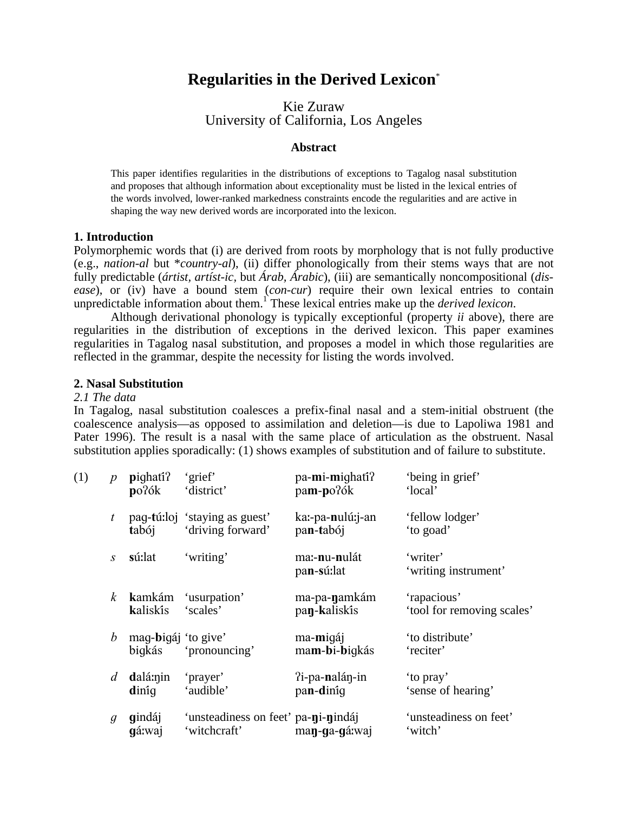# **Regularities in the Derived Lexicon**\*

Kie Zuraw University of California, Los Angeles

#### **Abstract**

This paper identifies regularities in the distributions of exceptions to Tagalog nasal substitution and proposes that although information about exceptionality must be listed in the lexical entries of the words involved, lower-ranked markedness constraints encode the regularities and are active in shaping the way new derived words are incorporated into the lexicon.

# **1. Introduction**

Polymorphemic words that (i) are derived from roots by morphology that is not fully productive (e.g., *nation-al* but \**country-al*), (ii) differ phonologically from their stems ways that are not fully predictable (*ártist, artíst-ic,* but *Árab, Árabic*), (iii) are semantically noncompositional (*disease*), or (iv) have a bound stem (*con-cur*) require their own lexical entries to contain unpredictable information about them.<sup>1</sup> These lexical entries make up the *derived lexicon*.

Although derivational phonology is typically exceptionful (property *ii* above), there are regularities in the distribution of exceptions in the derived lexicon. This paper examines regularities in Tagalog nasal substitution, and proposes a model in which those regularities are reflected in the grammar, despite the necessity for listing the words involved.

#### **2. Nasal Substitution**

#### *2.1 The data*

In Tagalog, nasal substitution coalesces a prefix-final nasal and a stem-initial obstruent (the coalescence analysis—as opposed to assimilation and deletion—is due to Lapoliwa 1981 and Pater 1996). The result is a nasal with the same place of articulation as the obstruent. Nasal substitution applies sporadically: (1) shows examples of substitution and of failure to substitute.

| (1) | $\boldsymbol{p}$ | pighati?<br>po?ók             | 'grief'<br>'district'                               | pa-mi-mighati?<br>pam-po?ók           | 'being in grief'<br>'local'               |
|-----|------------------|-------------------------------|-----------------------------------------------------|---------------------------------------|-------------------------------------------|
|     | t                | tabój                         | pag-tú:loj 'staying as guest'<br>'driving forward'  | ka:-pa-nulú:j-an<br>pan-tabój         | 'fellow lodger'<br>'to goad'              |
|     | $\mathcal{S}$    | sú:lat                        | 'writing'                                           | ma:-nu-nulát<br>pan-sú:lat            | 'writer'<br>'writing instrument'          |
|     | k                | kamkám<br>kaliskîs            | 'usurpation'<br>'scales'                            | ma-pa- <b>n</b> amkám<br>pan-kaliskis | 'rapacious'<br>'tool for removing scales' |
|     | b                | mag-bigáj 'to give'<br>bigkás | 'pronouncing'                                       | ma-migáj<br>mam-bi-biqkás             | 'to distribute'<br>'reciter'              |
|     | d                | dalá:nin<br>diniq             | 'prayer'<br>'audible'                               | ?i-pa-nalán-in<br>pan-diniq           | 'to pray'<br>'sense of hearing'           |
|     | $\mathfrak{g}$   | gindáj<br>gá:waj              | 'unsteadiness on feet' pa-ni-nindáj<br>'witchcraft' | man-ga-gá:waj                         | 'unsteadiness on feet'<br>'witch'         |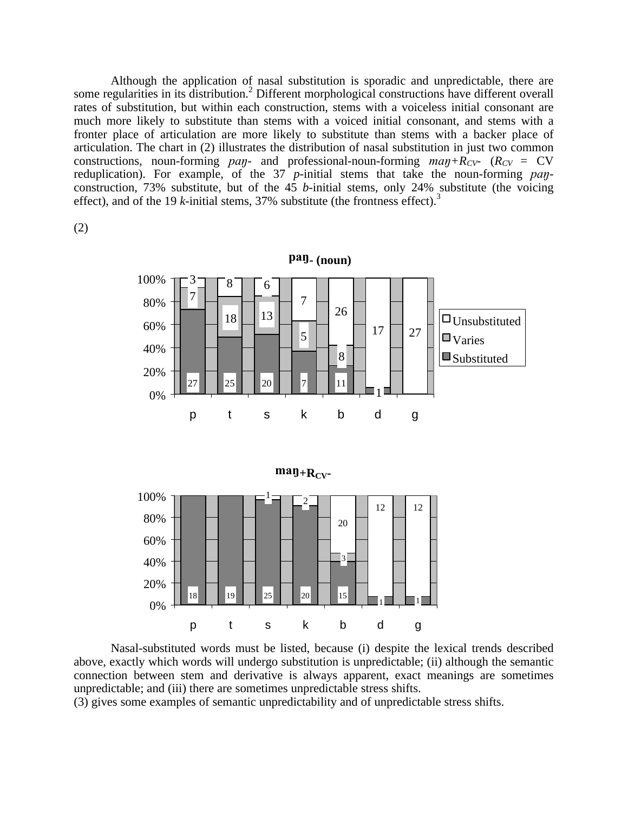Although the application of nasal substitution is sporadic and unpredictable, there are some regularities in its distribution.<sup>2</sup> Different morphological constructions have different overall rates of substitution, but within each construction, stems with a voiceless initial consonant are much more likely to substitute than stems with a voiced initial consonant, and stems with a fronter place of articulation are more likely to substitute than stems with a backer place of articulation. The chart in (2) illustrates the distribution of nasal substitution in just two common constructions, noun-forming *pay*- and professional-noun-forming  $map + R_{CV}$  ( $R_{CV}$  = CV reduplication). For example, of the 37 *p*-initial stems that take the noun-forming *pay*construction, 73% substitute, but of the 45 *b*-initial stems, only 24% substitute (the voicing effect), and of the 19 *k*-initial stems, 37% substitute (the frontness effect).<sup>3</sup>

(2)



Nasal-substituted words must be listed, because (i) despite the lexical trends described above, exactly which words will undergo substitution is unpredictable; (ii) although the semantic connection between stem and derivative is always apparent, exact meanings are sometimes unpredictable; and (iii) there are sometimes unpredictable stress shifts.

(3) gives some examples of semantic unpredictability and of unpredictable stress shifts.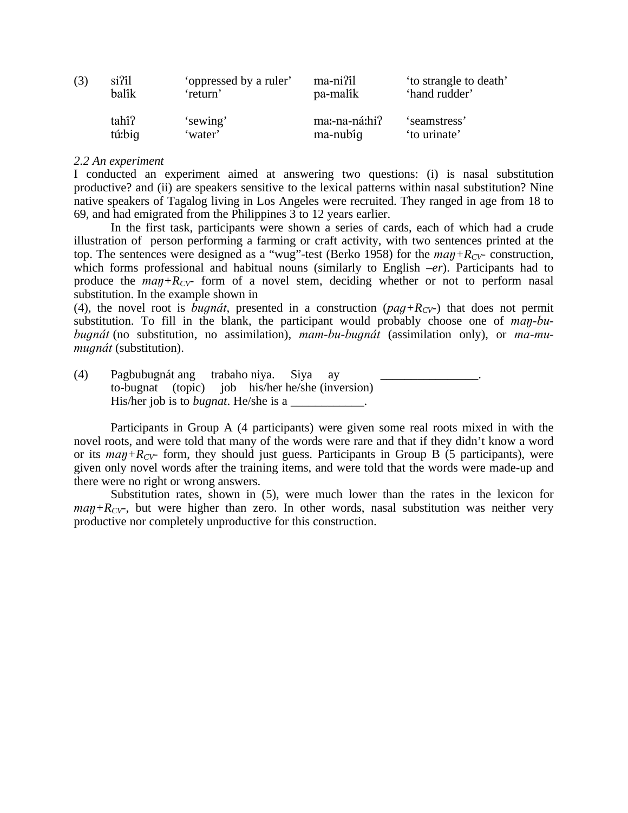| (3) | si <sup>7</sup> il | 'oppressed by a ruler' | ma-ni?il      | to strangle to death' |
|-----|--------------------|------------------------|---------------|-----------------------|
|     | balîk              | 'return'               | pa-malik      | 'hand rudder'         |
|     | tahi?              | 'sewing'               | ma:-na-ná:hi? | 'seamstress'          |
|     | tú:big             | 'water'                | ma-nubiq      | 'to urinate'          |

### *2.2 An experiment*

I conducted an experiment aimed at answering two questions: (i) is nasal substitution productive? and (ii) are speakers sensitive to the lexical patterns within nasal substitution? Nine native speakers of Tagalog living in Los Angeles were recruited. They ranged in age from 18 to 69, and had emigrated from the Philippines 3 to 12 years earlier.

In the first task, participants were shown a series of cards, each of which had a crude illustration of person performing a farming or craft activity, with two sentences printed at the top. The sentences were designed as a "wug"-test (Berko 1958) for the  $map + R_{CV}$ - construction, which forms professional and habitual nouns (similarly to English *–er*). Participants had to produce the  $map + R_{CV}$  form of a novel stem, deciding whether or not to perform nasal substitution. In the example shown in

(4), the novel root is *bugnat*, presented in a construction ( $paq + R_{CV}$ ) that does not permit substitution. To fill in the blank, the participant would probably choose one of *man-bubugnát* (no substitution, no assimilation), *mam-bu-bugnát* (assimilation only), or *ma-mumugnát* (substitution).

(4) Pagbubugnát ang trabaho niya. Siya ay \_\_\_\_\_\_\_\_\_\_\_\_\_\_\_\_. to-bugnat (topic) job his/her he/she (inversion) His/her job is to *bugnat*. He/she is a \_\_\_\_\_\_\_\_\_\_\_\_.

Participants in Group A (4 participants) were given some real roots mixed in with the novel roots, and were told that many of the words were rare and that if they didn't know a word or its  $map + R_{CV}$  form, they should just guess. Participants in Group B (5 participants), were given only novel words after the training items, and were told that the words were made-up and there were no right or wrong answers.

Substitution rates, shown in (5), were much lower than the rates in the lexicon for  $map+R_{CV}$ , but were higher than zero. In other words, nasal substitution was neither very productive nor completely unproductive for this construction.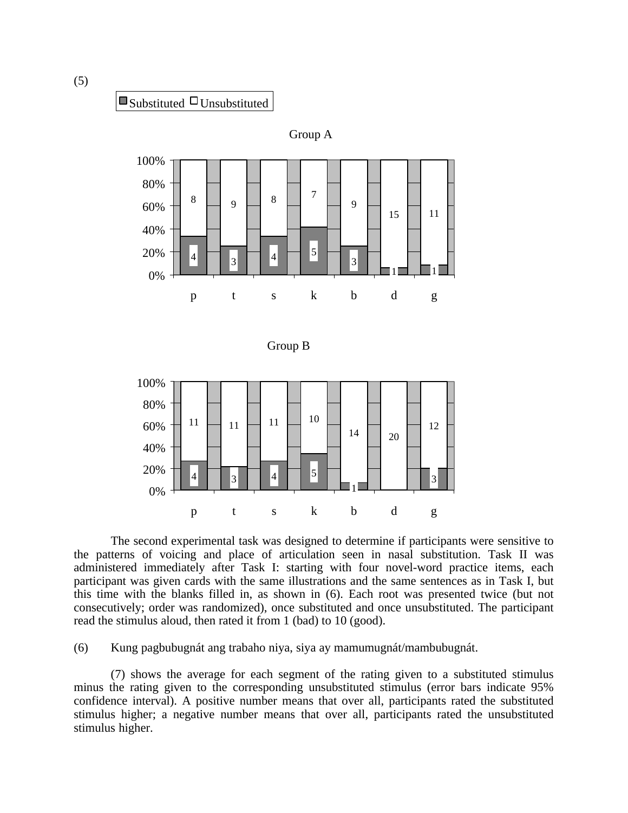



The second experimental task was designed to determine if participants were sensitive to the patterns of voicing and place of articulation seen in nasal substitution. Task II was administered immediately after Task I: starting with four novel-word practice items, each participant was given cards with the same illustrations and the same sentences as in Task I, but this time with the blanks filled in, as shown in (6). Each root was presented twice (but not consecutively; order was randomized), once substituted and once unsubstituted. The participant read the stimulus aloud, then rated it from 1 (bad) to 10 (good).

(6) Kung pagbubugnát ang trabaho niya, siya ay mamumugnát/mambubugnát.

(7) shows the average for each segment of the rating given to a substituted stimulus minus the rating given to the corresponding unsubstituted stimulus (error bars indicate 95% confidence interval). A positive number means that over all, participants rated the substituted stimulus higher; a negative number means that over all, participants rated the unsubstituted stimulus higher.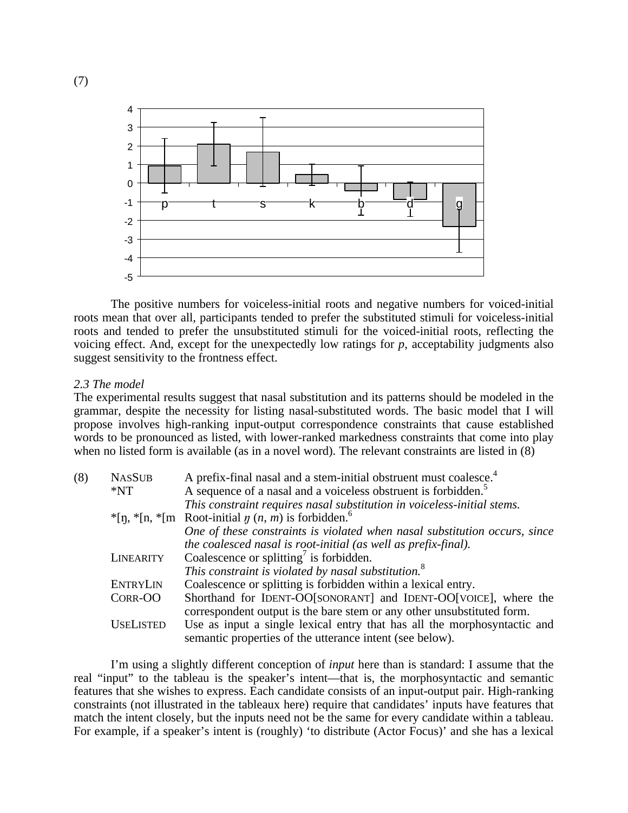

The positive numbers for voiceless-initial roots and negative numbers for voiced-initial roots mean that over all, participants tended to prefer the substituted stimuli for voiceless-initial roots and tended to prefer the unsubstituted stimuli for the voiced-initial roots, reflecting the voicing effect. And, except for the unexpectedly low ratings for *p*, acceptability judgments also suggest sensitivity to the frontness effect.

#### *2.3 The model*

The experimental results suggest that nasal substitution and its patterns should be modeled in the grammar, despite the necessity for listing nasal-substituted words. The basic model that I will propose involves high-ranking input-output correspondence constraints that cause established words to be pronounced as listed, with lower-ranked markedness constraints that come into play when no listed form is available (as in a novel word). The relevant constraints are listed in (8)

| (8) | <b>NASSUB</b>    | A prefix-final nasal and a stem-initial obstruent must coalesce. <sup>4</sup>                                                             |  |  |  |  |
|-----|------------------|-------------------------------------------------------------------------------------------------------------------------------------------|--|--|--|--|
|     | $*NT$            | A sequence of a nasal and a voiceless obstruent is forbidden. <sup>5</sup>                                                                |  |  |  |  |
|     |                  | This constraint requires nasal substitution in voiceless-initial stems.                                                                   |  |  |  |  |
|     |                  | $*$ [n, $*$ [n, $*$ [m Root-initial $\eta$ (n, m) is forbidden. <sup>6</sup>                                                              |  |  |  |  |
|     |                  | One of these constraints is violated when nasal substitution occurs, since                                                                |  |  |  |  |
|     |                  | the coalesced nasal is root-initial (as well as prefix-final).                                                                            |  |  |  |  |
|     | LINEARITY        | Coalescence or splitting <sup>7</sup> is forbidden.                                                                                       |  |  |  |  |
|     |                  | This constraint is violated by nasal substitution. <sup>8</sup>                                                                           |  |  |  |  |
|     | <b>ENTRYLIN</b>  | Coalescence or splitting is forbidden within a lexical entry.                                                                             |  |  |  |  |
|     | CORR-OO          | Shorthand for IDENT-OO[SONORANT] and IDENT-OO[VOICE], where the<br>correspondent output is the bare stem or any other unsubstituted form. |  |  |  |  |
|     | <b>USELISTED</b> | Use as input a single lexical entry that has all the morphosyntactic and<br>semantic properties of the utterance intent (see below).      |  |  |  |  |

I'm using a slightly different conception of *input* here than is standard: I assume that the real "input" to the tableau is the speaker's intent—that is, the morphosyntactic and semantic features that she wishes to express. Each candidate consists of an input-output pair. High-ranking constraints (not illustrated in the tableaux here) require that candidates' inputs have features that match the intent closely, but the inputs need not be the same for every candidate within a tableau. For example, if a speaker's intent is (roughly) 'to distribute (Actor Focus)' and she has a lexical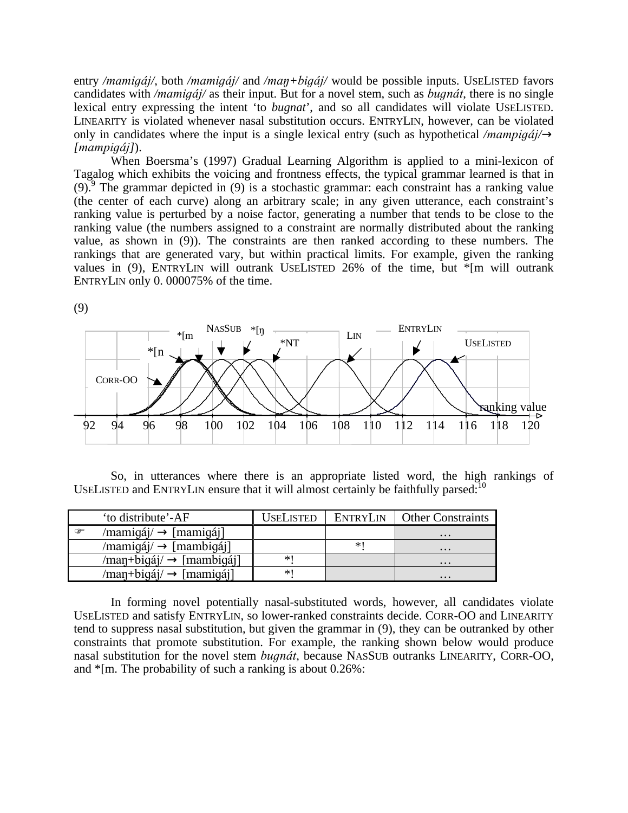entry */mamigáj/*, both */mamigáj/* and */man+bigáj/* would be possible inputs. USELISTED favors candidates with */mamigaj*/ as their input. But for a novel stem, such as *bugnat*, there is no single lexical entry expressing the intent 'to *bugnat*', and so all candidates will violate USELISTED. LINEARITY is violated whenever nasal substitution occurs. ENTRYLIN, however, can be violated only in candidates where the input is a single lexical entry (such as hypothetical */mampigaj*/ $\circledR$  $[manpiq4]$ ).

When Boersma's (1997) Gradual Learning Algorithm is applied to a mini-lexicon of Tagalog which exhibits the voicing and frontness effects, the typical grammar learned is that in  $(9)$ . The grammar depicted in  $(9)$  is a stochastic grammar: each constraint has a ranking value (the center of each curve) along an arbitrary scale; in any given utterance, each constraint's ranking value is perturbed by a noise factor, generating a number that tends to be close to the ranking value (the numbers assigned to a constraint are normally distributed about the ranking value, as shown in (9)). The constraints are then ranked according to these numbers. The rankings that are generated vary, but within practical limits. For example, given the ranking values in (9), ENTRYLIN will outrank USELISTED 26% of the time, but \*[m will outrank ENTRYLIN only 0. 000075% of the time.



So, in utterances where there is an appropriate listed word, the high rankings of USELISTED and ENTRYLIN ensure that it will almost certainly be faithfully parsed:  $10^{\circ}$ 

| 'to distribute'-AF                         | USELISTED | <b>ENTRYLIN</b> | <b>Other Constraints</b> |
|--------------------------------------------|-----------|-----------------|--------------------------|
| /mamigáj/ $\rightarrow$ [mamigáj]<br>œ     |           |                 | $\cdots$                 |
| $/$ mamigáj $/$ $\rightarrow$ [mambigáj]   |           | ∗∣              | $\cdots$                 |
| $/$ man+bigáj $/$ $\rightarrow$ [mambigáj] | $*$       |                 | $\cdots$                 |
| $/$ man+bigáj $/$ $\rightarrow$ [mamigáj]  | $*$       |                 | $\cdots$                 |

In forming novel potentially nasal-substituted words, however, all candidates violate USELISTED and satisfy ENTRYLIN, so lower-ranked constraints decide. CORR-OO and LINEARITY tend to suppress nasal substitution, but given the grammar in (9), they can be outranked by other constraints that promote substitution. For example, the ranking shown below would produce nasal substitution for the novel stem *bugnat*, because NASSUB outranks LINEARITY, CORR-OO, and \*[m. The probability of such a ranking is about 0.26%:

(9)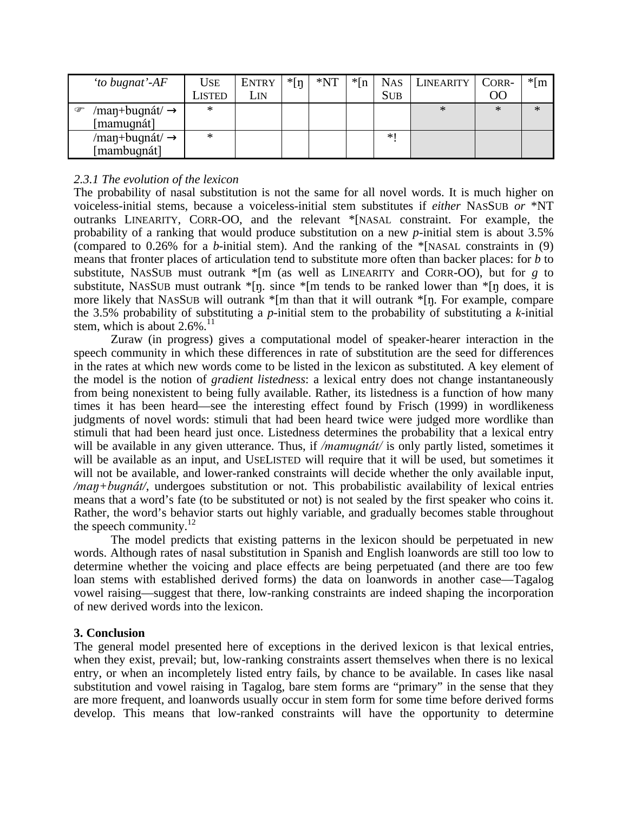| 'to bugnat'-AF                                                   | Use    | <b>ENTRY</b> | $*$ [ŋ | $*NT$ | $*$ [n | <b>NAS</b> | LINEARITY | CORR-          | $*$ [m] |
|------------------------------------------------------------------|--------|--------------|--------|-------|--------|------------|-----------|----------------|---------|
|                                                                  | Listed | ĹIN          |        |       |        | <b>SUB</b> |           | O <sub>O</sub> |         |
| $/$ man+bugnát $/$ $\rightarrow$<br>$\circledcirc$<br>[mamugnát] | *      |              |        |       |        |            | $\ast$    | ∗              | ∗       |
| /man+bugnát/ $\rightarrow$<br>[mambugnát]                        | $*$    |              |        |       |        | *∣         |           |                |         |

# *2.3.1 The evolution of the lexicon*

The probability of nasal substitution is not the same for all novel words. It is much higher on voiceless-initial stems, because a voiceless-initial stem substitutes if *either* NASSUB *or* \*NT outranks LINEARITY, CORR-OO, and the relevant \*[NASAL constraint. For example, the probability of a ranking that would produce substitution on a new *p*-initial stem is about 3.5% (compared to 0.26% for a *b*-initial stem). And the ranking of the \*[NASAL constraints in (9) means that fronter places of articulation tend to substitute more often than backer places: for *b* to substitute, NASSUB must outrank  $\ast$ [m (as well as LINEARITY and CORR-OO), but for *g* to substitute, NASSUB must outrank  $\pi$ [n. since  $\pi$ [m tends to be ranked lower than  $\pi$ [n does, it is more likely that NASSUB will outrank  $*$ [m than that it will outrank  $*$ [n]. For example, compare the 3.5% probability of substituting a *p*-initial stem to the probability of substituting a *k*-initial stem, which is about  $2.6\%$ .<sup>11</sup>

Zuraw (in progress) gives a computational model of speaker-hearer interaction in the speech community in which these differences in rate of substitution are the seed for differences in the rates at which new words come to be listed in the lexicon as substituted. A key element of the model is the notion of *gradient listedness*: a lexical entry does not change instantaneously from being nonexistent to being fully available. Rather, its listedness is a function of how many times it has been heard—see the interesting effect found by Frisch (1999) in wordlikeness judgments of novel words: stimuli that had been heard twice were judged more wordlike than stimuli that had been heard just once. Listedness determines the probability that a lexical entry will be available in any given utterance. Thus, if */mamugnat/* is only partly listed, sometimes it will be available as an input, and USELISTED will require that it will be used, but sometimes it will not be available, and lower-ranked constraints will decide whether the only available input,  $/$ *man* $+$ *bugnát* $/$ , undergoes substitution or not. This probabilistic availability of lexical entries means that a word's fate (to be substituted or not) is not sealed by the first speaker who coins it. Rather, the word's behavior starts out highly variable, and gradually becomes stable throughout the speech community. $12$ 

The model predicts that existing patterns in the lexicon should be perpetuated in new words. Although rates of nasal substitution in Spanish and English loanwords are still too low to determine whether the voicing and place effects are being perpetuated (and there are too few loan stems with established derived forms) the data on loanwords in another case—Tagalog vowel raising—suggest that there, low-ranking constraints are indeed shaping the incorporation of new derived words into the lexicon.

# **3. Conclusion**

The general model presented here of exceptions in the derived lexicon is that lexical entries, when they exist, prevail; but, low-ranking constraints assert themselves when there is no lexical entry, or when an incompletely listed entry fails, by chance to be available. In cases like nasal substitution and vowel raising in Tagalog, bare stem forms are "primary" in the sense that they are more frequent, and loanwords usually occur in stem form for some time before derived forms develop. This means that low-ranked constraints will have the opportunity to determine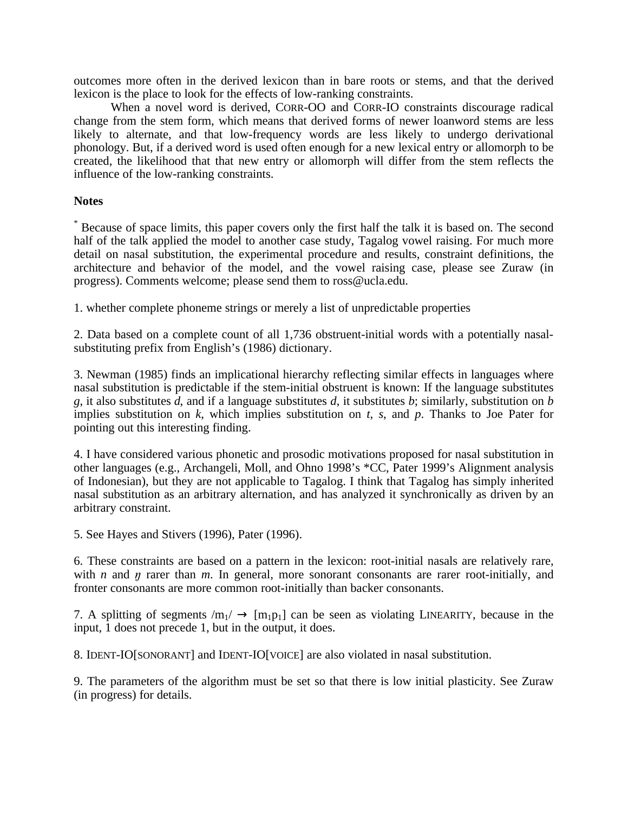outcomes more often in the derived lexicon than in bare roots or stems, and that the derived lexicon is the place to look for the effects of low-ranking constraints.

When a novel word is derived, CORR-OO and CORR-IO constraints discourage radical change from the stem form, which means that derived forms of newer loanword stems are less likely to alternate, and that low-frequency words are less likely to undergo derivational phonology. But, if a derived word is used often enough for a new lexical entry or allomorph to be created, the likelihood that that new entry or allomorph will differ from the stem reflects the influence of the low-ranking constraints.

# **Notes**

\* Because of space limits, this paper covers only the first half the talk it is based on. The second half of the talk applied the model to another case study, Tagalog vowel raising. For much more detail on nasal substitution, the experimental procedure and results, constraint definitions, the architecture and behavior of the model, and the vowel raising case, please see Zuraw (in progress). Comments welcome; please send them to ross@ucla.edu.

1. whether complete phoneme strings or merely a list of unpredictable properties

2. Data based on a complete count of all 1,736 obstruent-initial words with a potentially nasalsubstituting prefix from English's (1986) dictionary.

3. Newman (1985) finds an implicational hierarchy reflecting similar effects in languages where nasal substitution is predictable if the stem-initial obstruent is known: If the language substitutes *g*, it also substitutes *d*, and if a language substitutes *d*, it substitutes *b*; similarly, substitution on *b* implies substitution on *k*, which implies substitution on *t*, *s*, and *p*. Thanks to Joe Pater for pointing out this interesting finding.

4. I have considered various phonetic and prosodic motivations proposed for nasal substitution in other languages (e.g., Archangeli, Moll, and Ohno 1998's \*CC, Pater 1999's Alignment analysis of Indonesian), but they are not applicable to Tagalog. I think that Tagalog has simply inherited nasal substitution as an arbitrary alternation, and has analyzed it synchronically as driven by an arbitrary constraint.

5. See Hayes and Stivers (1996), Pater (1996).

6. These constraints are based on a pattern in the lexicon: root-initial nasals are relatively rare, with *n* and  $\eta$  rarer than  $m$ . In general, more sonorant consonants are rarer root-initially, and fronter consonants are more common root-initially than backer consonants.

7. A splitting of segments  $/m_1 / \rightarrow [m_1p_1]$  can be seen as violating LINEARITY, because in the input, 1 does not precede 1, but in the output, it does.

8. IDENT-IO[SONORANT] and IDENT-IO[VOICE] are also violated in nasal substitution.

9. The parameters of the algorithm must be set so that there is low initial plasticity. See Zuraw (in progress) for details.